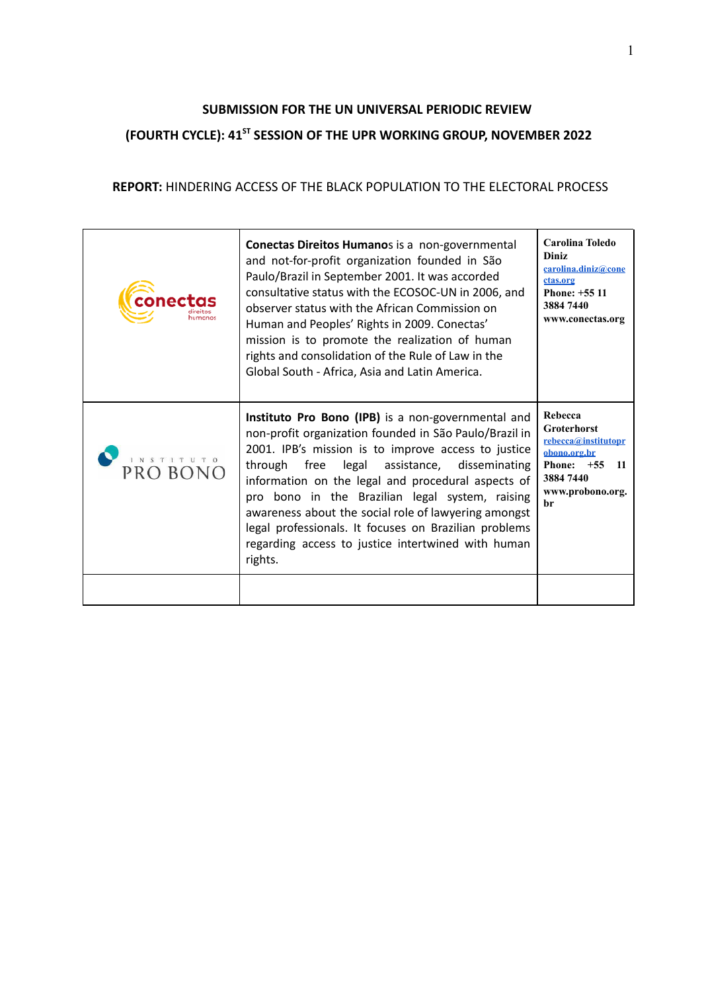# **SUBMISSION FOR THE UN UNIVERSAL PERIODIC REVIEW (FOURTH CYCLE): 41ST SESSION OF THE UPR WORKING GROUP, NOVEMBER 2022**

### **REPORT:** HINDERING ACCESS OF THE BLACK POPULATION TO THE ELECTORAL PROCESS

| conecta                       | Conectas Direitos Humanos is a non-governmental<br>and not-for-profit organization founded in São<br>Paulo/Brazil in September 2001. It was accorded<br>consultative status with the ECOSOC-UN in 2006, and<br>observer status with the African Commission on<br>Human and Peoples' Rights in 2009. Conectas'<br>mission is to promote the realization of human<br>rights and consolidation of the Rule of Law in the<br>Global South - Africa, Asia and Latin America.                                        | Carolina Toledo<br>Diniz<br>carolina.diniz@cone<br>ctas.org<br>Phone: +55 11<br>3884 7440<br>www.conectas.org                       |
|-------------------------------|----------------------------------------------------------------------------------------------------------------------------------------------------------------------------------------------------------------------------------------------------------------------------------------------------------------------------------------------------------------------------------------------------------------------------------------------------------------------------------------------------------------|-------------------------------------------------------------------------------------------------------------------------------------|
| 1 N S T 1 T U T 0<br>PRO BONC | Instituto Pro Bono (IPB) is a non-governmental and<br>non-profit organization founded in São Paulo/Brazil in<br>2001. IPB's mission is to improve access to justice<br>through free legal assistance, disseminating<br>information on the legal and procedural aspects of<br>pro bono in the Brazilian legal system, raising<br>awareness about the social role of lawyering amongst<br>legal professionals. It focuses on Brazilian problems<br>regarding access to justice intertwined with human<br>rights. | Rebecca<br><b>Groterhorst</b><br>rebecca@institutopr<br>obono.org.br<br>Phone: $+55$<br>- 11<br>3884 7440<br>www.probono.org.<br>br |
|                               |                                                                                                                                                                                                                                                                                                                                                                                                                                                                                                                |                                                                                                                                     |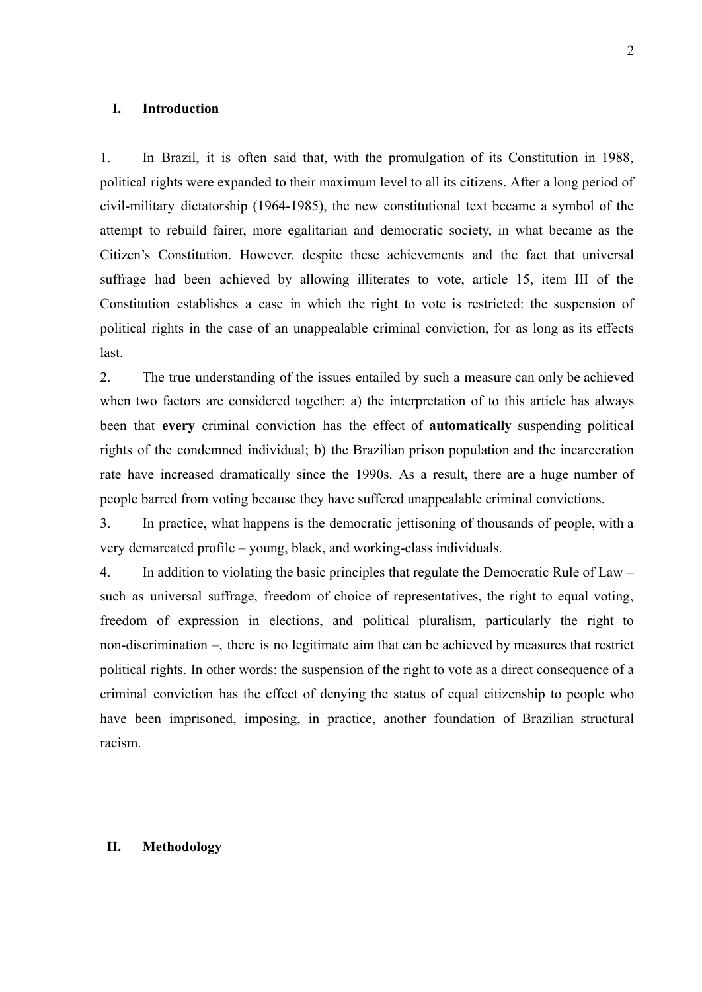### **I. Introduction**

1. In Brazil, it is often said that, with the promulgation of its Constitution in 1988, political rights were expanded to their maximum level to all its citizens. After a long period of civil-military dictatorship (1964-1985), the new constitutional text became a symbol of the attempt to rebuild fairer, more egalitarian and democratic society, in what became as the Citizen's Constitution. However, despite these achievements and the fact that universal suffrage had been achieved by allowing illiterates to vote, article 15, item III of the Constitution establishes a case in which the right to vote is restricted: the suspension of political rights in the case of an unappealable criminal conviction, for as long as its effects last.

2. The true understanding of the issues entailed by such a measure can only be achieved when two factors are considered together: a) the interpretation of to this article has always been that **every** criminal conviction has the effect of **automatically** suspending political rights of the condemned individual; b) the Brazilian prison population and the incarceration rate have increased dramatically since the 1990s. As a result, there are a huge number of people barred from voting because they have suffered unappealable criminal convictions.

3. In practice, what happens is the democratic jettisoning of thousands of people, with a very demarcated profile – young, black, and working-class individuals.

4. In addition to violating the basic principles that regulate the Democratic Rule of Law – such as universal suffrage, freedom of choice of representatives, the right to equal voting, freedom of expression in elections, and political pluralism, particularly the right to non-discrimination –, there is no legitimate aim that can be achieved by measures that restrict political rights. In other words: the suspension of the right to vote as a direct consequence of a criminal conviction has the effect of denying the status of equal citizenship to people who have been imprisoned, imposing, in practice, another foundation of Brazilian structural racism.

#### **II. Methodology**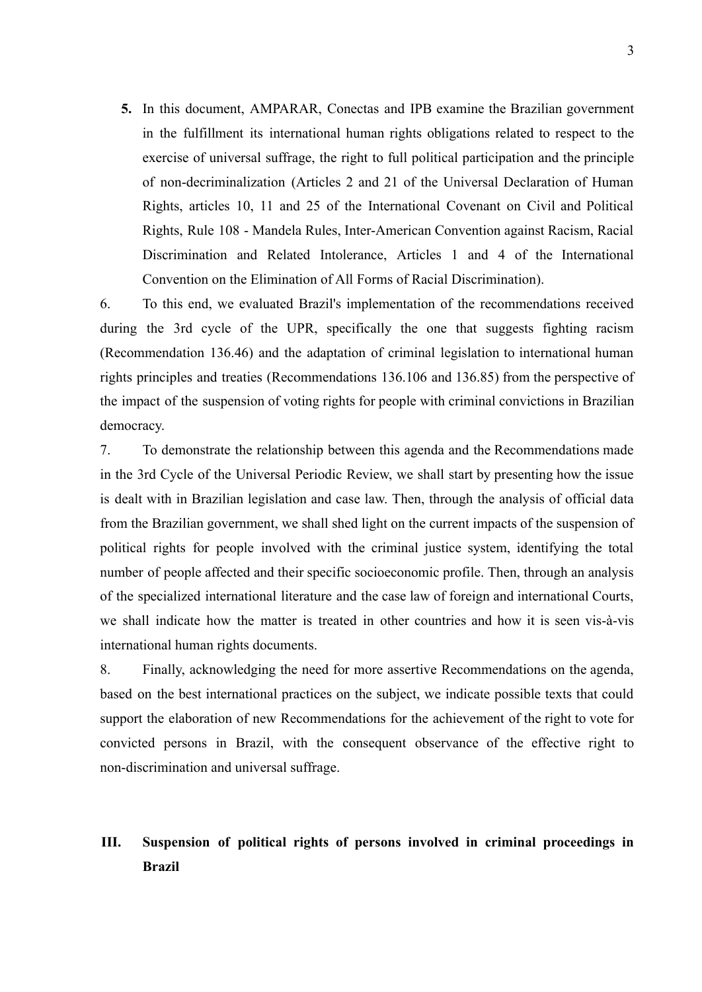**5.** In this document, AMPARAR, Conectas and IPB examine the Brazilian government in the fulfillment its international human rights obligations related to respect to the exercise of universal suffrage, the right to full political participation and the principle of non-decriminalization (Articles 2 and 21 of the Universal Declaration of Human Rights, articles 10, 11 and 25 of the International Covenant on Civil and Political Rights, Rule 108 - Mandela Rules, Inter-American Convention against Racism, Racial Discrimination and Related Intolerance, Articles 1 and 4 of the International Convention on the Elimination of All Forms of Racial Discrimination).

6. To this end, we evaluated Brazil's implementation of the recommendations received during the 3rd cycle of the UPR, specifically the one that suggests fighting racism (Recommendation 136.46) and the adaptation of criminal legislation to international human rights principles and treaties (Recommendations 136.106 and 136.85) from the perspective of the impact of the suspension of voting rights for people with criminal convictions in Brazilian democracy.

7. To demonstrate the relationship between this agenda and the Recommendations made in the 3rd Cycle of the Universal Periodic Review, we shall start by presenting how the issue is dealt with in Brazilian legislation and case law. Then, through the analysis of official data from the Brazilian government, we shall shed light on the current impacts of the suspension of political rights for people involved with the criminal justice system, identifying the total number of people affected and their specific socioeconomic profile. Then, through an analysis of the specialized international literature and the case law of foreign and international Courts, we shall indicate how the matter is treated in other countries and how it is seen vis-à-vis international human rights documents.

8. Finally, acknowledging the need for more assertive Recommendations on the agenda, based on the best international practices on the subject, we indicate possible texts that could support the elaboration of new Recommendations for the achievement of the right to vote for convicted persons in Brazil, with the consequent observance of the effective right to non-discrimination and universal suffrage.

## **III. Suspension of political rights of persons involved in criminal proceedings in Brazil**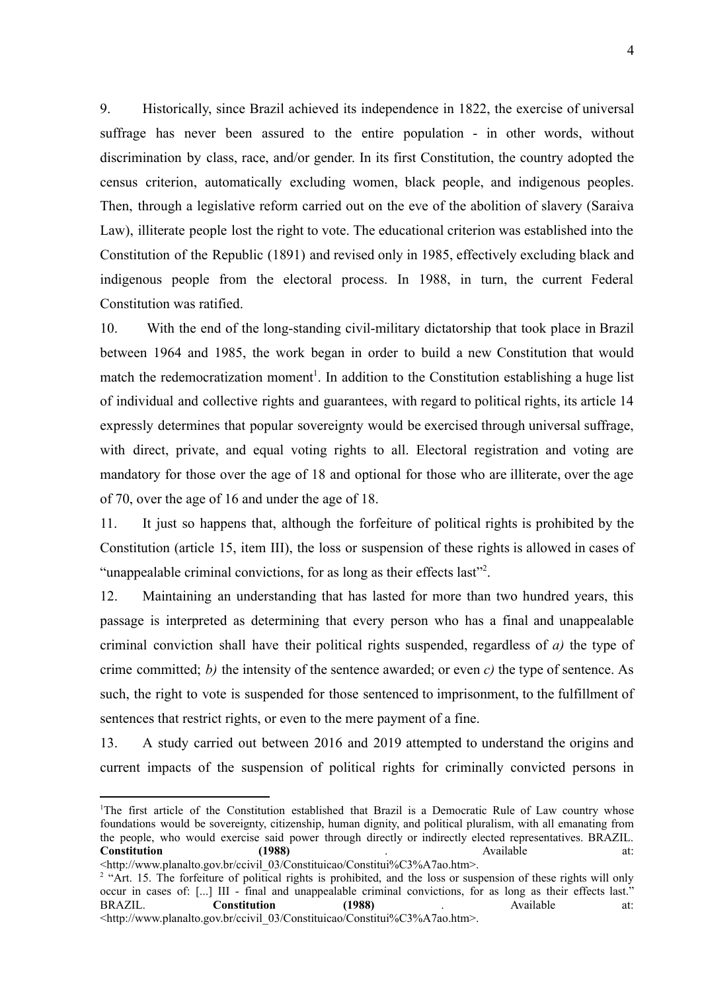9. Historically, since Brazil achieved its independence in 1822, the exercise of universal suffrage has never been assured to the entire population - in other words, without discrimination by class, race, and/or gender. In its first Constitution, the country adopted the census criterion, automatically excluding women, black people, and indigenous peoples. Then, through a legislative reform carried out on the eve of the abolition of slavery (Saraiva Law), illiterate people lost the right to vote. The educational criterion was established into the Constitution of the Republic (1891) and revised only in 1985, effectively excluding black and indigenous people from the electoral process. In 1988, in turn, the current Federal Constitution was ratified.

10. With the end of the long-standing civil-military dictatorship that took place in Brazil between 1964 and 1985, the work began in order to build a new Constitution that would match the redemocratization moment<sup>1</sup>. In addition to the Constitution establishing a huge list of individual and collective rights and guarantees, with regard to political rights, its article 14 expressly determines that popular sovereignty would be exercised through universal suffrage, with direct, private, and equal voting rights to all. Electoral registration and voting are mandatory for those over the age of 18 and optional for those who are illiterate, over the age of 70, over the age of 16 and under the age of 18.

11. It just so happens that, although the forfeiture of political rights is prohibited by the Constitution (article 15, item III), the loss or suspension of these rights is allowed in cases of "unappealable criminal convictions, for as long as their effects last"<sup>2</sup>.

12. Maintaining an understanding that has lasted for more than two hundred years, this passage is interpreted as determining that every person who has a final and unappealable criminal conviction shall have their political rights suspended, regardless of *a)* the type of crime committed; *b)* the intensity of the sentence awarded; or even *c)* the type of sentence. As such, the right to vote is suspended for those sentenced to imprisonment, to the fulfillment of sentences that restrict rights, or even to the mere payment of a fine.

13. A study carried out between 2016 and 2019 attempted to understand the origins and current impacts of the suspension of political rights for criminally convicted persons in

<sup>1</sup>The first article of the Constitution established that Brazil is a Democratic Rule of Law country whose foundations would be sovereignty, citizenship, human dignity, and political pluralism, with all emanating from the people, who would exercise said power through directly or indirectly elected representatives. BRAZIL. **Constitution (1988)** . Available at: <http://www.planalto.gov.br/ccivil\_03/Constituicao/Constitui%C3%A7ao.htm>.

<sup>&</sup>lt;sup>2</sup> "Art. 15. The forfeiture of political rights is prohibited, and the loss or suspension of these rights will only occur in cases of: [...] III - final and unappealable criminal convictions, for as long as their effects last." BRAZIL. **Constitution (1988)** . Available at: <http://www.planalto.gov.br/ccivil\_03/Constituicao/Constitui%C3%A7ao.htm>.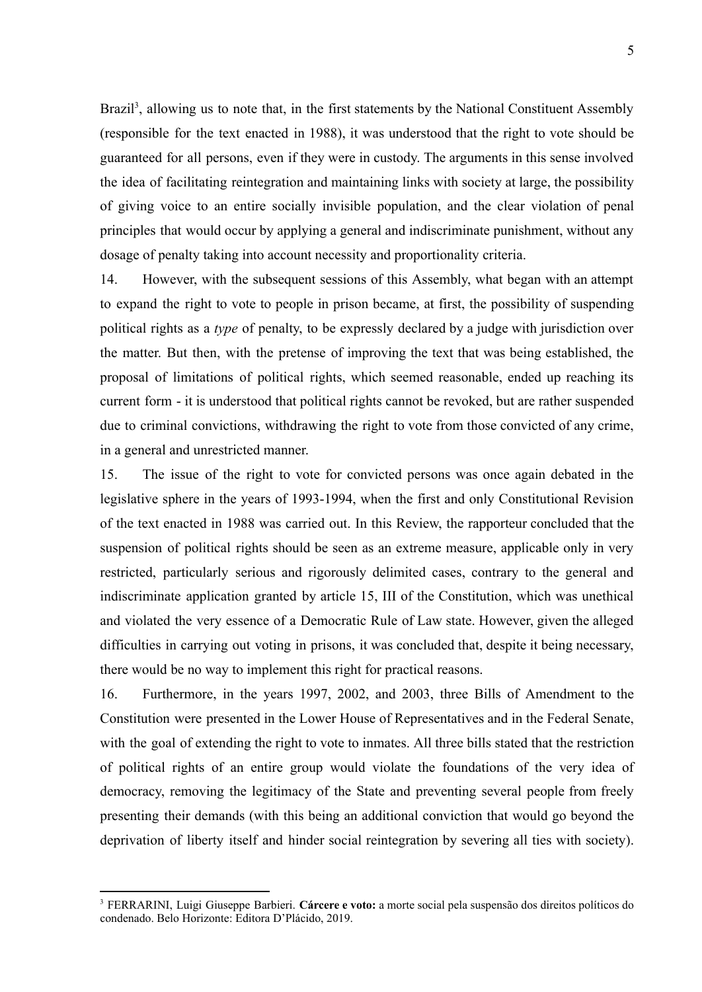Brazil<sup>3</sup>, allowing us to note that, in the first statements by the National Constituent Assembly (responsible for the text enacted in 1988), it was understood that the right to vote should be guaranteed for all persons, even if they were in custody. The arguments in this sense involved the idea of facilitating reintegration and maintaining links with society at large, the possibility of giving voice to an entire socially invisible population, and the clear violation of penal principles that would occur by applying a general and indiscriminate punishment, without any dosage of penalty taking into account necessity and proportionality criteria.

14. However, with the subsequent sessions of this Assembly, what began with an attempt to expand the right to vote to people in prison became, at first, the possibility of suspending political rights as a *type* of penalty, to be expressly declared by a judge with jurisdiction over the matter. But then, with the pretense of improving the text that was being established, the proposal of limitations of political rights, which seemed reasonable, ended up reaching its current form - it is understood that political rights cannot be revoked, but are rather suspended due to criminal convictions, withdrawing the right to vote from those convicted of any crime, in a general and unrestricted manner.

15. The issue of the right to vote for convicted persons was once again debated in the legislative sphere in the years of 1993-1994, when the first and only Constitutional Revision of the text enacted in 1988 was carried out. In this Review, the rapporteur concluded that the suspension of political rights should be seen as an extreme measure, applicable only in very restricted, particularly serious and rigorously delimited cases, contrary to the general and indiscriminate application granted by article 15, III of the Constitution, which was unethical and violated the very essence of a Democratic Rule of Law state. However, given the alleged difficulties in carrying out voting in prisons, it was concluded that, despite it being necessary, there would be no way to implement this right for practical reasons.

16. Furthermore, in the years 1997, 2002, and 2003, three Bills of Amendment to the Constitution were presented in the Lower House of Representatives and in the Federal Senate, with the goal of extending the right to vote to inmates. All three bills stated that the restriction of political rights of an entire group would violate the foundations of the very idea of democracy, removing the legitimacy of the State and preventing several people from freely presenting their demands (with this being an additional conviction that would go beyond the deprivation of liberty itself and hinder social reintegration by severing all ties with society).

<sup>3</sup> FERRARINI, Luigi Giuseppe Barbieri. **Cárcere e voto:** a morte social pela suspensão dos direitos políticos do condenado. Belo Horizonte: Editora D'Plácido, 2019.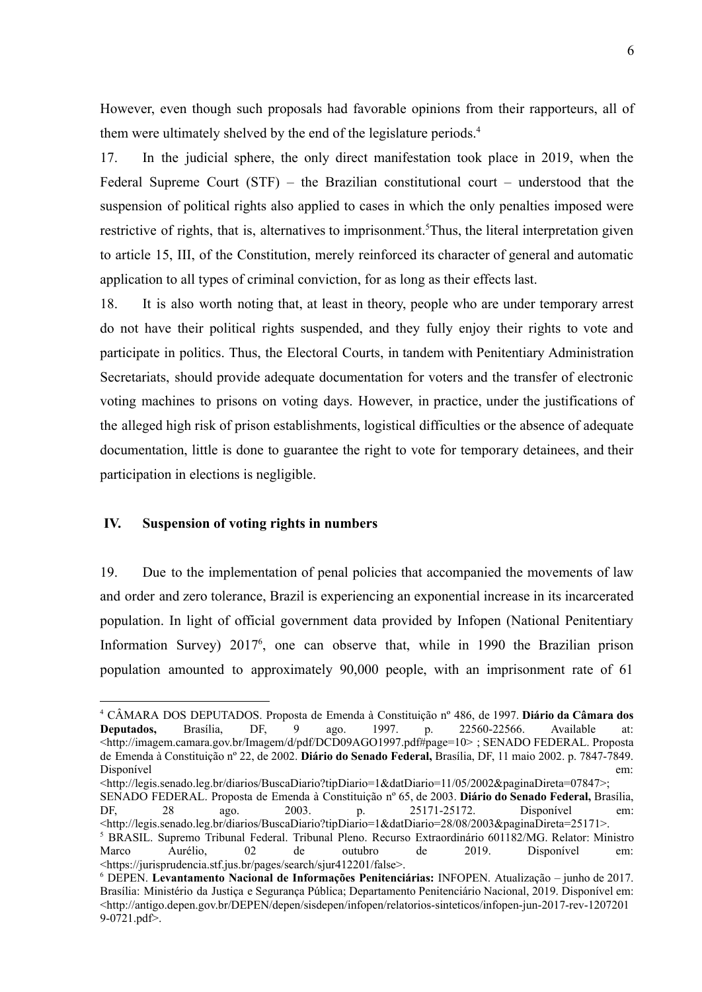However, even though such proposals had favorable opinions from their rapporteurs, all of them were ultimately shelved by the end of the legislature periods.<sup>4</sup>

17. In the judicial sphere, the only direct manifestation took place in 2019, when the Federal Supreme Court (STF) – the Brazilian constitutional court – understood that the suspension of political rights also applied to cases in which the only penalties imposed were restrictive of rights, that is, alternatives to imprisonment.<sup>5</sup>Thus, the literal interpretation given to article 15, III, of the Constitution, merely reinforced its character of general and automatic application to all types of criminal conviction, for as long as their effects last.

18. It is also worth noting that, at least in theory, people who are under temporary arrest do not have their political rights suspended, and they fully enjoy their rights to vote and participate in politics. Thus, the Electoral Courts, in tandem with Penitentiary Administration Secretariats, should provide adequate documentation for voters and the transfer of electronic voting machines to prisons on voting days. However, in practice, under the justifications of the alleged high risk of prison establishments, logistical difficulties or the absence of adequate documentation, little is done to guarantee the right to vote for temporary detainees, and their participation in elections is negligible.

### **IV. Suspension of voting rights in numbers**

19. Due to the implementation of penal policies that accompanied the movements of law and order and zero tolerance, Brazil is experiencing an exponential increase in its incarcerated population. In light of official government data provided by Infopen (National Penitentiary Information Survey) 2017<sup>6</sup> , one can observe that, while in 1990 the Brazilian prison population amounted to approximately 90,000 people, with an imprisonment rate of 61

<sup>5</sup> BRASIL. Supremo Tribunal Federal. Tribunal Pleno. Recurso Extraordinário 601182/MG. Relator: Ministro Marco Aurélio, 02 de outubro de 2019. Disponível em: <https://jurisprudencia.stf.jus.br/pages/search/sjur412201/false>. <http://legis.senado.leg.br/diarios/BuscaDiario?tipDiario=1&datDiario=11/05/2002&paginaDireta=07847>; SENADO FEDERAL. Proposta de Emenda à Constituição nº 65, de 2003. **Diário do Senado Federal,** Brasília, DF, 28 ago. 2003. p. 25171-25172. Disponível em: <http://legis.senado.leg.br/diarios/BuscaDiario?tipDiario=1&datDiario=28/08/2003&paginaDireta=25171>.

<sup>4</sup> CÂMARA DOS DEPUTADOS. Proposta de Emenda à Constituição nº 486, de 1997. **Diário da Câmara dos Deputados,** Brasília, DF, 9 ago. 1997. p. 22560-22566. Available at: <http://imagem.camara.gov.br/Imagem/d/pdf/DCD09AGO1997.pdf#page=10> ; SENADO FEDERAL. Proposta de Emenda à Constituição nº 22, de 2002. **Diário do Senado Federal,** Brasília, DF, 11 maio 2002. p. 7847-7849. Disponível em:

<sup>6</sup> DEPEN. **Levantamento Nacional de Informações Penitenciárias:** INFOPEN. Atualização – junho de 2017. Brasília: Ministério da Justiça e Segurança Pública; Departamento Penitenciário Nacional, 2019. Disponível em: <http://antigo.depen.gov.br/DEPEN/depen/sisdepen/infopen/relatorios-sinteticos/infopen-jun-2017-rev-1207201 9-0721.pdf>.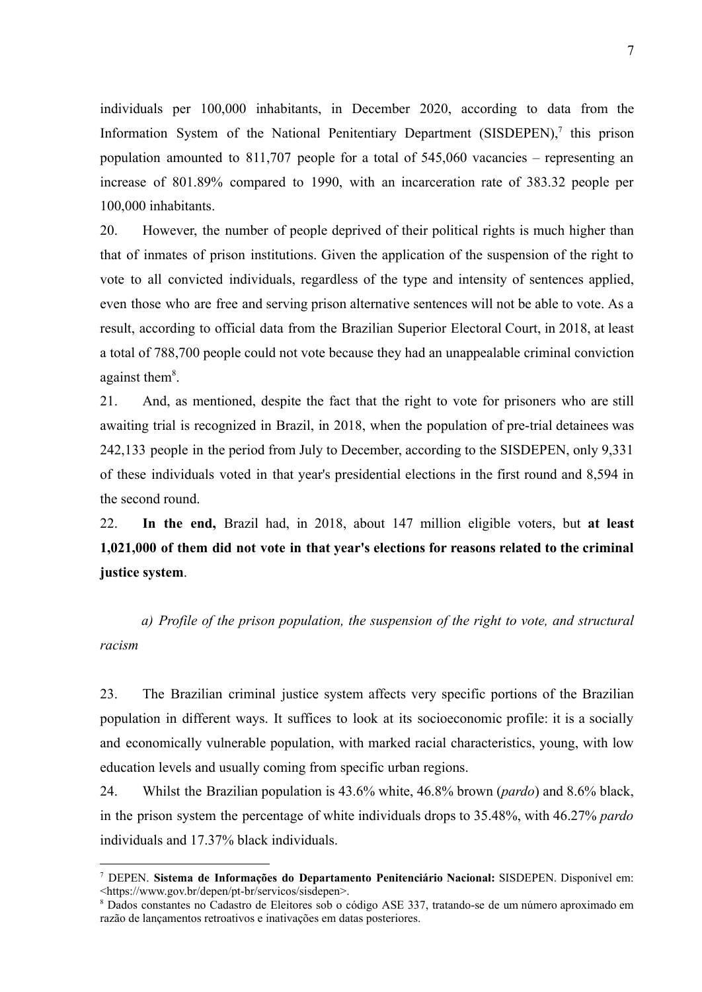individuals per 100,000 inhabitants, in December 2020, according to data from the Information System of the National Penitentiary Department (SISDEPEN),<sup>7</sup> this prison population amounted to 811,707 people for a total of 545,060 vacancies – representing an increase of 801.89% compared to 1990, with an incarceration rate of 383.32 people per 100,000 inhabitants.

20. However, the number of people deprived of their political rights is much higher than that of inmates of prison institutions. Given the application of the suspension of the right to vote to all convicted individuals, regardless of the type and intensity of sentences applied, even those who are free and serving prison alternative sentences will not be able to vote. As a result, according to official data from the Brazilian Superior Electoral Court, in 2018, at least a total of 788,700 people could not vote because they had an unappealable criminal conviction against them<sup>8</sup>.

21. And, as mentioned, despite the fact that the right to vote for prisoners who are still awaiting trial is recognized in Brazil, in 2018, when the population of pre-trial detainees was 242,133 people in the period from July to December, according to the SISDEPEN, only 9,331 of these individuals voted in that year's presidential elections in the first round and 8,594 in the second round.

22. **In the end,** Brazil had, in 2018, about 147 million eligible voters, but **at least 1,021,000 of them did not vote in that year's elections for reasons related to the criminal justice system**.

*a) Profile of the prison population, the suspension of the right to vote, and structural racism*

23. The Brazilian criminal justice system affects very specific portions of the Brazilian population in different ways. It suffices to look at its socioeconomic profile: it is a socially and economically vulnerable population, with marked racial characteristics, young, with low education levels and usually coming from specific urban regions.

24. Whilst the Brazilian population is 43.6% white, 46.8% brown (*pardo*) and 8.6% black, in the prison system the percentage of white individuals drops to 35.48%, with 46.27% *pardo* individuals and 17.37% black individuals.

<sup>7</sup> DEPEN. **Sistema de Informações do Departamento Penitenciário Nacional:** SISDEPEN. Disponível em: <https://www.gov.br/depen/pt-br/servicos/sisdepen>.

<sup>8</sup> Dados constantes no Cadastro de Eleitores sob o código ASE 337, tratando-se de um número aproximado em razão de lançamentos retroativos e inativações em datas posteriores.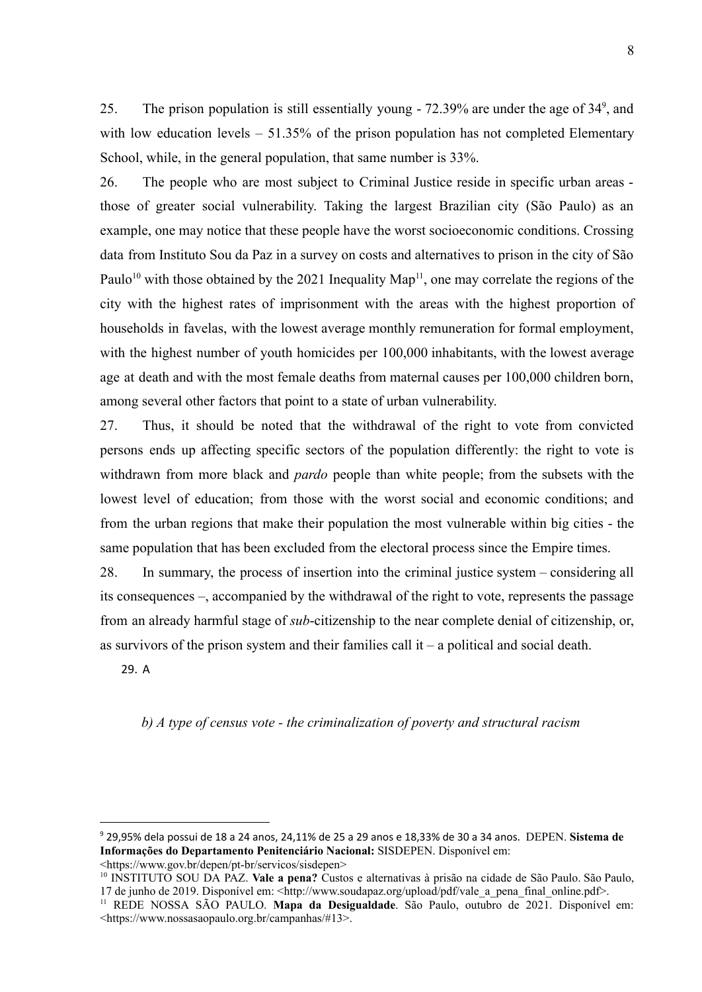25. The prison population is still essentially young - 72.39% are under the age of 34<sup>9</sup>, and with low education levels – 51.35% of the prison population has not completed Elementary School, while, in the general population, that same number is 33%.

26. The people who are most subject to Criminal Justice reside in specific urban areas those of greater social vulnerability. Taking the largest Brazilian city (São Paulo) as an example, one may notice that these people have the worst socioeconomic conditions. Crossing data from Instituto Sou da Paz in a survey on costs and alternatives to prison in the city of São Paulo<sup>10</sup> with those obtained by the 2021 Inequality Map<sup>11</sup>, one may correlate the regions of the city with the highest rates of imprisonment with the areas with the highest proportion of households in favelas, with the lowest average monthly remuneration for formal employment, with the highest number of youth homicides per  $100,000$  inhabitants, with the lowest average age at death and with the most female deaths from maternal causes per 100,000 children born, among several other factors that point to a state of urban vulnerability.

27. Thus, it should be noted that the withdrawal of the right to vote from convicted persons ends up affecting specific sectors of the population differently: the right to vote is withdrawn from more black and *pardo* people than white people; from the subsets with the lowest level of education; from those with the worst social and economic conditions; and from the urban regions that make their population the most vulnerable within big cities - the same population that has been excluded from the electoral process since the Empire times.

28. In summary, the process of insertion into the criminal justice system – considering all its consequences –, accompanied by the withdrawal of the right to vote, represents the passage from an already harmful stage of *sub*-citizenship to the near complete denial of citizenship, or, as survivors of the prison system and their families call  $it - a$  political and social death.

29. A

*b) A type of census vote - the criminalization of poverty and structural racism*

<sup>9</sup> 29,95% dela possui de 18 a 24 anos, 24,11% de 25 a 29 anos e 18,33% de 30 a 34 anos. DEPEN. **Sistema de Informações do Departamento Penitenciário Nacional:** SISDEPEN. Disponível em: <https://www.gov.br/depen/pt-br/servicos/sisdepen>

<sup>10</sup> INSTITUTO SOU DA PAZ. **Vale a pena?** Custos e alternativas à prisão na cidade de São Paulo. São Paulo, 17 de junho de 2019. Disponível em: <http://www.soudapaz.org/upload/pdf/vale\_a\_pena\_final\_online.pdf>.

<sup>11</sup> REDE NOSSA SÃO PAULO. **Mapa da Desigualdade**. São Paulo, outubro de 2021. Disponível em: <https://www.nossasaopaulo.org.br/campanhas/#13>.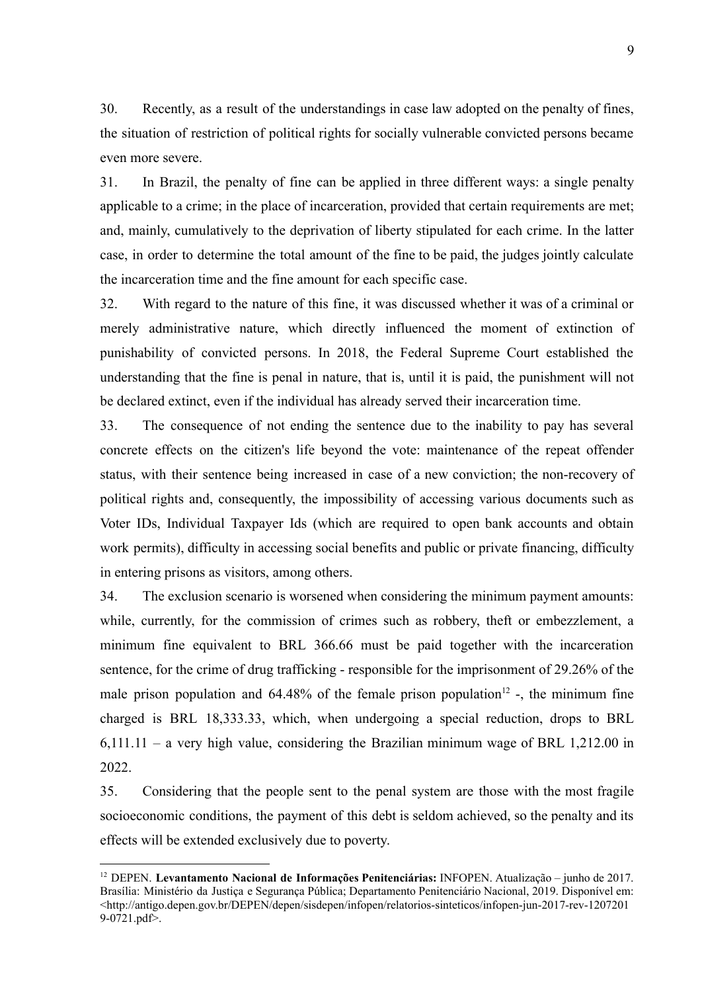30. Recently, as a result of the understandings in case law adopted on the penalty of fines, the situation of restriction of political rights for socially vulnerable convicted persons became even more severe.

31. In Brazil, the penalty of fine can be applied in three different ways: a single penalty applicable to a crime; in the place of incarceration, provided that certain requirements are met; and, mainly, cumulatively to the deprivation of liberty stipulated for each crime. In the latter case, in order to determine the total amount of the fine to be paid, the judges jointly calculate the incarceration time and the fine amount for each specific case.

32. With regard to the nature of this fine, it was discussed whether it was of a criminal or merely administrative nature, which directly influenced the moment of extinction of punishability of convicted persons. In 2018, the Federal Supreme Court established the understanding that the fine is penal in nature, that is, until it is paid, the punishment will not be declared extinct, even if the individual has already served their incarceration time.

33. The consequence of not ending the sentence due to the inability to pay has several concrete effects on the citizen's life beyond the vote: maintenance of the repeat offender status, with their sentence being increased in case of a new conviction; the non-recovery of political rights and, consequently, the impossibility of accessing various documents such as Voter IDs, Individual Taxpayer Ids (which are required to open bank accounts and obtain work permits), difficulty in accessing social benefits and public or private financing, difficulty in entering prisons as visitors, among others.

34. The exclusion scenario is worsened when considering the minimum payment amounts: while, currently, for the commission of crimes such as robbery, theft or embezzlement, a minimum fine equivalent to BRL 366.66 must be paid together with the incarceration sentence, for the crime of drug trafficking - responsible for the imprisonment of 29.26% of the male prison population and  $64.48\%$  of the female prison population<sup>12</sup> -, the minimum fine charged is BRL 18,333.33, which, when undergoing a special reduction, drops to BRL 6,111.11 – a very high value, considering the Brazilian minimum wage of BRL 1,212.00 in 2022.

35. Considering that the people sent to the penal system are those with the most fragile socioeconomic conditions, the payment of this debt is seldom achieved, so the penalty and its effects will be extended exclusively due to poverty.

<sup>12</sup> DEPEN. **Levantamento Nacional de Informações Penitenciárias:** INFOPEN. Atualização – junho de 2017. Brasília: Ministério da Justiça e Segurança Pública; Departamento Penitenciário Nacional, 2019. Disponível em: <http://antigo.depen.gov.br/DEPEN/depen/sisdepen/infopen/relatorios-sinteticos/infopen-jun-2017-rev-1207201 9-0721.pdf>.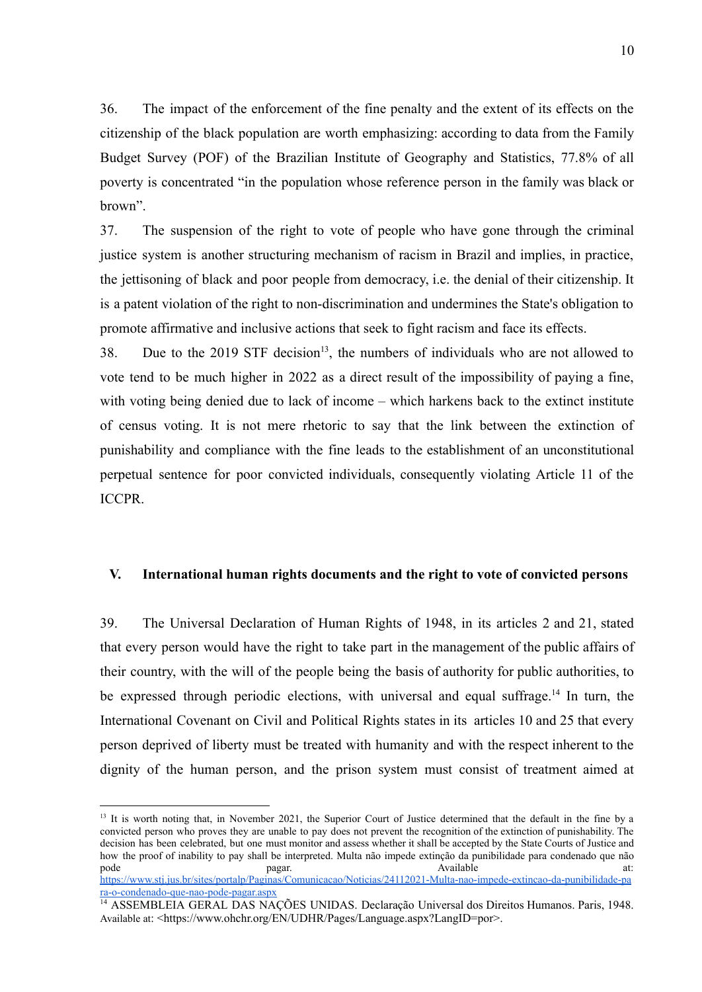36. The impact of the enforcement of the fine penalty and the extent of its effects on the citizenship of the black population are worth emphasizing: according to data from the [Family](https://www.redebrasilatual.com.br/tag/pesquisa-de-orcamentos-familiares-pof/) [Budget](https://www.redebrasilatual.com.br/tag/pesquisa-de-orcamentos-familiares-pof/) Survey (POF) of the Brazilian Institute of Geography and Statistics, 77.8% of all poverty is concentrated "in the population whose reference person in the family was black or brown".

37. The suspension of the right to vote of people who have gone through the criminal justice system is another structuring mechanism of racism in Brazil and implies, in practice, the jettisoning of black and poor people from democracy, i.e. the denial of their citizenship. It is a patent violation of the right to non-discrimination and undermines the State's obligation to promote affirmative and inclusive actions that seek to fight racism and face its effects.

38. Due to the 2019 STF decision<sup>13</sup>, the numbers of individuals who are not allowed to vote tend to be much higher in 2022 as a direct result of the impossibility of paying a fine, with voting being denied due to lack of income – which harkens back to the extinct institute of census voting. It is not mere rhetoric to say that the link between the extinction of punishability and compliance with the fine leads to the establishment of an unconstitutional perpetual sentence for poor convicted individuals, consequently violating Article 11 of the ICCPR.

### **V. International human rights documents and the right to vote of convicted persons**

39. The Universal Declaration of Human Rights of 1948, in its articles 2 and 21, stated that every person would have the right to take part in the management of the public affairs of their country, with the will of the people being the basis of authority for public authorities, to be expressed through periodic elections, with universal and equal suffrage.<sup>14</sup> In turn, the International Covenant on Civil and Political Rights states in its articles 10 and 25 that every person deprived of liberty must be treated with humanity and with the respect inherent to the dignity of the human person, and the prison system must consist of treatment aimed at

<sup>&</sup>lt;sup>13</sup> It is worth noting that, in November 2021, the Superior Court of Justice determined that the default in the fine by a convicted person who proves they are unable to pay does not prevent the recognition of the extinction of punishability. The decision has been celebrated, but one must monitor and assess whether it shall be accepted by the State Courts of Justice and how the proof of inability to pay shall be interpreted. Multa não impede extinção da punibilidade para condenado que não pode **pagar. pagar. and pagar. and pagar. a** Available at: [https://www.stj.jus.br/sites/portalp/Paginas/Comunicacao/Noticias/24112021-Multa-nao-impede-extincao-da-punibilidade-pa](https://www.stj.jus.br/sites/portalp/Paginas/Comunicacao/Noticias/24112021-Multa-nao-impede-extincao-da-punibilidade-para-o-condenado-que-nao-pode-pagar.aspx)

<sup>&</sup>lt;sup>14</sup> ASSEMBLEIA GERAL DAS NAÇÕES UNIDAS. Declaração Universal dos Direitos Humanos. Paris, 1948. Available at: <https://www.ohchr.org/EN/UDHR/Pages/Language.aspx?LangID=por>. [ra-o-condenado-que-nao-pode-pagar.aspx](https://www.stj.jus.br/sites/portalp/Paginas/Comunicacao/Noticias/24112021-Multa-nao-impede-extincao-da-punibilidade-para-o-condenado-que-nao-pode-pagar.aspx)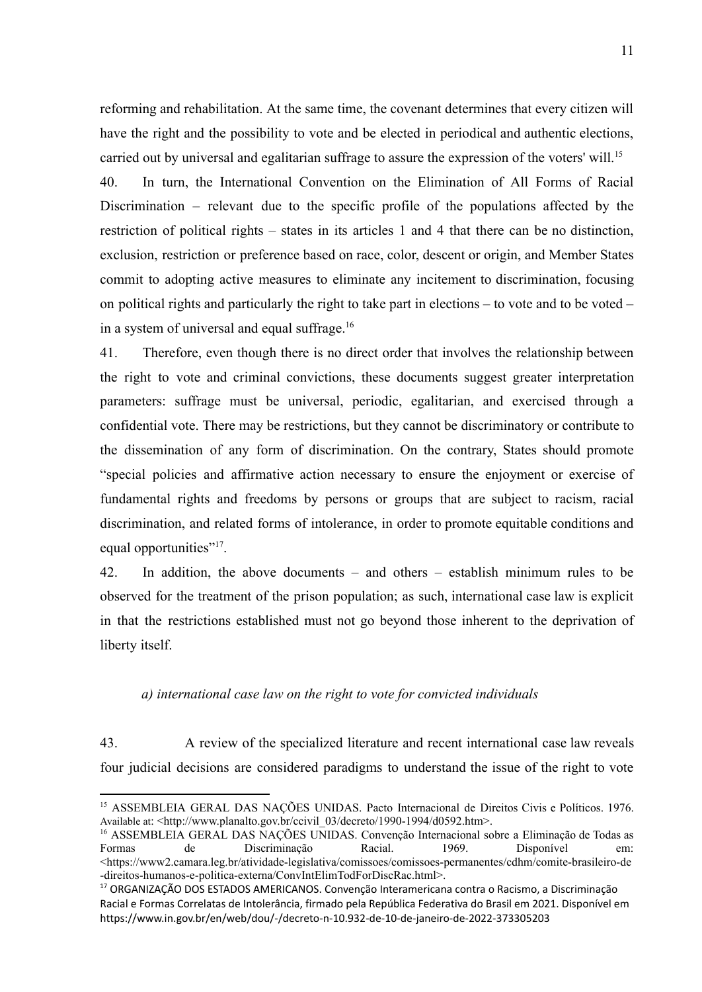reforming and rehabilitation. At the same time, the covenant determines that every citizen will have the right and the possibility to vote and be elected in periodical and authentic elections, carried out by universal and egalitarian suffrage to assure the expression of the voters' will.<sup>15</sup>

40. In turn, the International Convention on the Elimination of All Forms of Racial Discrimination – relevant due to the specific profile of the populations affected by the restriction of political rights – states in its articles 1 and 4 that there can be no distinction, exclusion, restriction or preference based on race, color, descent or origin, and Member States commit to adopting active measures to eliminate any incitement to discrimination, focusing on political rights and particularly the right to take part in elections – to vote and to be voted – in a system of universal and equal suffrage.<sup>16</sup>

41. Therefore, even though there is no direct order that involves the relationship between the right to vote and criminal convictions, these documents suggest greater interpretation parameters: suffrage must be universal, periodic, egalitarian, and exercised through a confidential vote. There may be restrictions, but they cannot be discriminatory or contribute to the dissemination of any form of discrimination. On the contrary, States should promote "special policies and affirmative action necessary to ensure the enjoyment or exercise of fundamental rights and freedoms by persons or groups that are subject to racism, racial discrimination, and related forms of intolerance, in order to promote equitable conditions and equal opportunities"<sup>17</sup>.

42. In addition, the above documents – and others – establish minimum rules to be observed for the treatment of the prison population; as such, international case law is explicit in that the restrictions established must not go beyond those inherent to the deprivation of liberty itself.

### *a) international case law on the right to vote for convicted individuals*

43. A review of the specialized literature and recent international case law reveals four judicial decisions are considered paradigms to understand the issue of the right to vote

<sup>15</sup> ASSEMBLEIA GERAL DAS NAÇÕES UNIDAS. Pacto Internacional de Direitos Civis e Políticos. 1976. Available at: <http://www.planalto.gov.br/ccivil\_03/decreto/1990-1994/d0592.htm>.

<sup>&</sup>lt;sup>16</sup> ASSEMBLEIA GERAL DAS NAÇÕES UNIDAS. Convenção Internacional sobre a Eliminação de Todas as<br>Formas de Discriminação Racial 1969. Disponível em: Formas de Discriminação Racial. 1969. Disponível em: <https://www2.camara.leg.br/atividade-legislativa/comissoes/comissoes-permanentes/cdhm/comite-brasileiro-de -direitos-humanos-e-politica-externa/ConvIntElimTodForDiscRac.html>.

<sup>17</sup> ORGANIZAÇÃO DOS ESTADOS AMERICANOS. Convenção Interamericana contra o Racismo, a Discriminação Racial e Formas Correlatas de Intolerância, firmado pela República Federativa do Brasil em 2021. Disponível em https://www.in.gov.br/en/web/dou/-/decreto-n-10.932-de-10-de-janeiro-de-2022-373305203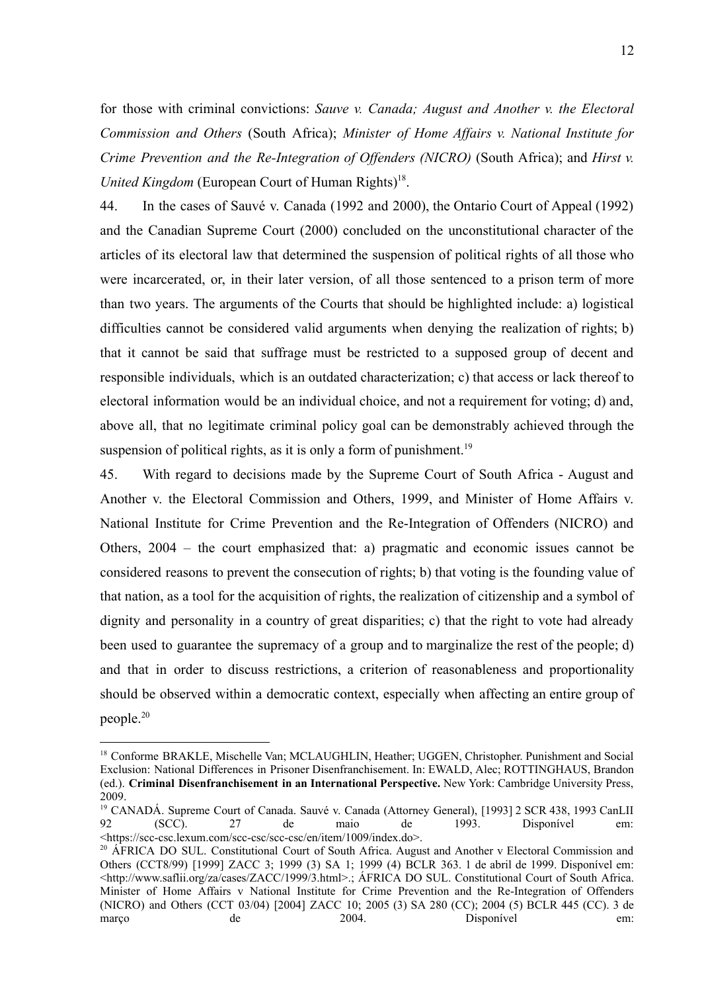for those with criminal convictions: *Sauve v. Canada; August and Another v. the Electoral Commission and Others* (South Africa); *Minister of Home Affairs v. National Institute for Crime Prevention and the Re-Integration of Offenders (NICRO)* (South Africa); and *Hirst v.* United Kingdom (European Court of Human Rights)<sup>18</sup>.

44. In the cases of Sauvé v. Canada (1992 and 2000), the Ontario Court of Appeal (1992) and the Canadian Supreme Court (2000) concluded on the unconstitutional character of the articles of its electoral law that determined the suspension of political rights of all those who were incarcerated, or, in their later version, of all those sentenced to a prison term of more than two years. The arguments of the Courts that should be highlighted include: a) logistical difficulties cannot be considered valid arguments when denying the realization of rights; b) that it cannot be said that suffrage must be restricted to a supposed group of decent and responsible individuals, which is an outdated characterization; c) that access or lack thereof to electoral information would be an individual choice, and not a requirement for voting; d) and, above all, that no legitimate criminal policy goal can be demonstrably achieved through the suspension of political rights, as it is only a form of punishment.<sup>19</sup>

45. With regard to decisions made by the Supreme Court of South Africa - August and Another v. the Electoral Commission and Others, 1999, and Minister of Home Affairs v. National Institute for Crime Prevention and the Re-Integration of Offenders (NICRO) and Others, 2004 – the court emphasized that: a) pragmatic and economic issues cannot be considered reasons to prevent the consecution of rights; b) that voting is the founding value of that nation, as a tool for the acquisition of rights, the realization of citizenship and a symbol of dignity and personality in a country of great disparities; c) that the right to vote had already been used to guarantee the supremacy of a group and to marginalize the rest of the people; d) and that in order to discuss restrictions, a criterion of reasonableness and proportionality should be observed within a democratic context, especially when affecting an entire group of people.<sup>20</sup>

<sup>&</sup>lt;sup>18</sup> Conforme BRAKLE, Mischelle Van; MCLAUGHLIN, Heather; UGGEN, Christopher, Punishment and Social Exclusion: National Differences in Prisoner Disenfranchisement. In: EWALD, Alec; ROTTINGHAUS, Brandon (ed.). **Criminal Disenfranchisement in an International Perspective.** New York: Cambridge University Press, 2009.

<sup>&</sup>lt;sup>19</sup> CANADÁ. Supreme Court of Canada. Sauvé v. Canada (Attorney General), [1993] 2 SCR 438, 1993 CanLII 92 (SCC). 27 de maio de 1993. Disponível em: <https://scc-csc.lexum.com/scc-csc/scc-csc/en/item/1009/index.do>.

<sup>&</sup>lt;sup>20</sup> ÁFRICA DO SUL. Constitutional Court of South Africa. August and Another v Electoral Commission and Others (CCT8/99) [1999] ZACC 3; 1999 (3) SA 1; 1999 (4) BCLR 363. 1 de abril de 1999. Disponível em: <http://www.saflii.org/za/cases/ZACC/1999/3.html>.; ÁFRICA DO SUL. Constitutional Court of South Africa. Minister of Home Affairs v National Institute for Crime Prevention and the Re-Integration of Offenders (NICRO) and Others (CCT 03/04) [2004] ZACC 10; 2005 (3) SA 280 (CC); 2004 (5) BCLR 445 (CC). 3 de março de 2004. Disponível em: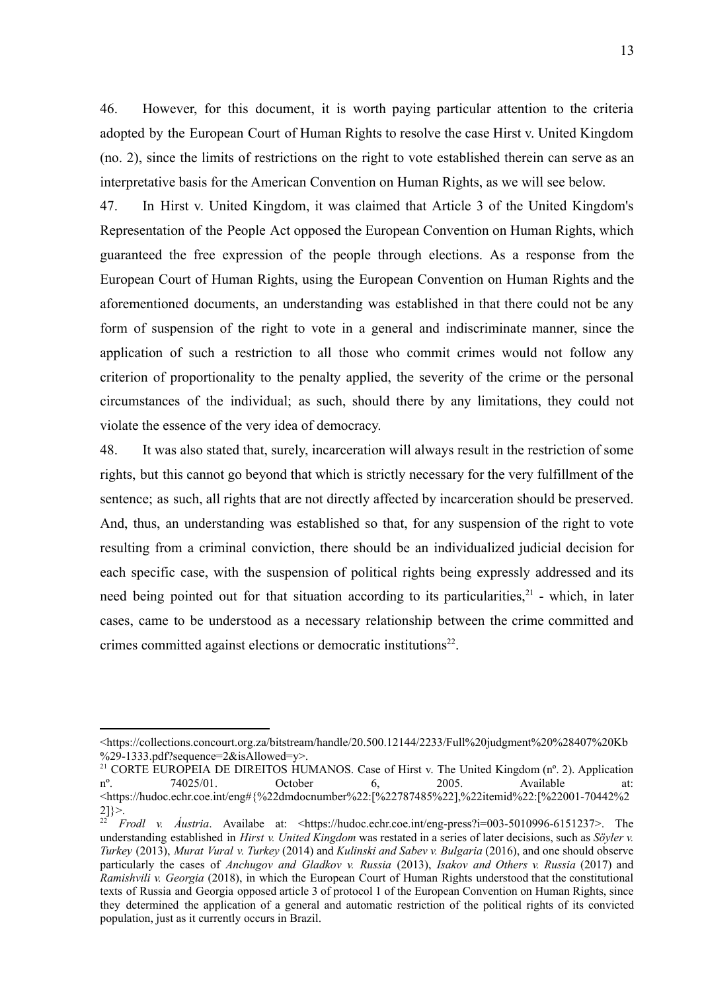46. However, for this document, it is worth paying particular attention to the criteria adopted by the European Court of Human Rights to resolve the case Hirst v. United Kingdom (no. 2), since the limits of restrictions on the right to vote established therein can serve as an interpretative basis for the American Convention on Human Rights, as we will see below.

47. In Hirst v. United Kingdom, it was claimed that Article 3 of the United Kingdom's Representation of the People Act opposed the European Convention on Human Rights, which guaranteed the free expression of the people through elections. As a response from the European Court of Human Rights, using the European Convention on Human Rights and the aforementioned documents, an understanding was established in that there could not be any form of suspension of the right to vote in a general and indiscriminate manner, since the application of such a restriction to all those who commit crimes would not follow any criterion of proportionality to the penalty applied, the severity of the crime or the personal circumstances of the individual; as such, should there by any limitations, they could not violate the essence of the very idea of democracy.

48. It was also stated that, surely, incarceration will always result in the restriction of some rights, but this cannot go beyond that which is strictly necessary for the very fulfillment of the sentence; as such, all rights that are not directly affected by incarceration should be preserved. And, thus, an understanding was established so that, for any suspension of the right to vote resulting from a criminal conviction, there should be an individualized judicial decision for each specific case, with the suspension of political rights being expressly addressed and its need being pointed out for that situation according to its particularities, $2<sup>1</sup>$  - which, in later cases, came to be understood as a necessary relationship between the crime committed and crimes committed against elections or democratic institutions<sup>22</sup>.

<sup>&</sup>lt;https://collections.concourt.org.za/bitstream/handle/20.500.12144/2233/Full%20judgment%20%28407%20Kb  $\%$ 29-1333.pdf?sequence=2&isAllowed=y>.

<sup>&</sup>lt;sup>21</sup> CORTE EUROPEIA DE DIREITOS HUMANOS. Case of Hirst v. The United Kingdom  $(n^{\circ}$ . 2). Application  $n^{\circ}$ . 74025/01. October 6. 2005. Available at:  $n^{\circ}$ . 74025/01. October 6, 2005. Available at: <https://hudoc.echr.coe.int/eng#{%22dmdocnumber%22:[%22787485%22],%22itemid%22:[%22001-70442%2  $2]$  $>$ .

<sup>22</sup> *Frodl v. Áustria*. Availabe at: <https://hudoc.echr.coe.int/eng-press?i=003-5010996-6151237>. The understanding established in *Hirst v. United Kingdom* was restated in a series of later decisions, such as *Söyler v. Turkey* (2013), *Murat Vural v. Turkey* (2014) and *Kulinski and Sabev v. Bulgaria* (2016), and one should observe particularly the cases of *Anchugov and Gladkov v. Russia* (2013), *Isakov and Others v. Russia* (2017) and *Ramishvili v. Georgia* (2018), in which the European Court of Human Rights understood that the constitutional texts of Russia and Georgia opposed article 3 of protocol 1 of the European Convention on Human Rights, since they determined the application of a general and automatic restriction of the political rights of its convicted population, just as it currently occurs in Brazil.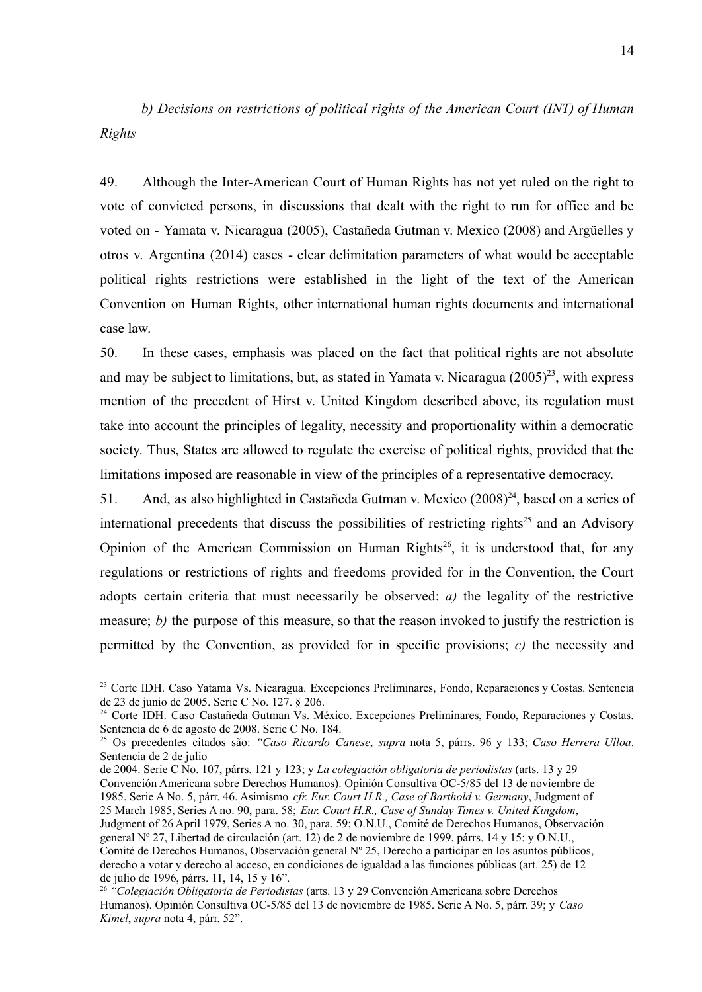*b) Decisions on restrictions of political rights of the American Court (INT) of Human Rights*

49. Although the Inter-American Court of Human Rights has not yet ruled on the right to vote of convicted persons, in discussions that dealt with the right to run for office and be voted on - Yamata v. Nicaragua (2005), Castañeda Gutman v. Mexico (2008) and Argüelles y otros v. Argentina (2014) cases - clear delimitation parameters of what would be acceptable political rights restrictions were established in the light of the text of the American Convention on Human Rights, other international human rights documents and international case law.

50. In these cases, emphasis was placed on the fact that political rights are not absolute and may be subject to limitations, but, as stated in Yamata v. Nicaragua  $(2005)^{23}$ , with express mention of the precedent of Hirst v. United Kingdom described above, its regulation must take into account the principles of legality, necessity and proportionality within a democratic society. Thus, States are allowed to regulate the exercise of political rights, provided that the limitations imposed are reasonable in view of the principles of a representative democracy.

51. And, as also highlighted in Castañeda Gutman v. Mexico (2008)<sup>24</sup>, based on a series of international precedents that discuss the possibilities of restricting rights<sup>25</sup> and an Advisory Opinion of the American Commission on Human Rights<sup>26</sup>, it is understood that, for any regulations or restrictions of rights and freedoms provided for in the Convention, the Court adopts certain criteria that must necessarily be observed: *a)* the legality of the restrictive measure; *b)* the purpose of this measure, so that the reason invoked to justify the restriction is permitted by the Convention, as provided for in specific provisions; *c)* the necessity and

de 2004. Serie C No. 107, párrs. 121 y 123; y *La colegiación obligatoria de periodistas* (arts. 13 y 29 Convención Americana sobre Derechos Humanos). Opinión Consultiva OC-5/85 del 13 de noviembre de

1985. Serie A No. 5, párr. 46. Asimismo *cfr. Eur. Court H.R., Case of Barthold v. Germany*, Judgment of 25 March 1985, Series A no. 90, para. 58; *Eur. Court H.R., Case of Sunday Times v. United Kingdom*,

<sup>23</sup> Corte IDH. Caso Yatama Vs. Nicaragua. Excepciones Preliminares, Fondo, Reparaciones y Costas. Sentencia de 23 de junio de 2005. Serie C No. 127. § 206.

<sup>&</sup>lt;sup>24</sup> Corte IDH. Caso Castañeda Gutman Vs. México. Excepciones Preliminares, Fondo, Reparaciones y Costas. Sentencia de 6 de agosto de 2008. Serie C No. 184.

<sup>25</sup> Os precedentes citados são: *"Caso Ricardo Canese*, *supra* nota 5, párrs. 96 y 133; *Caso Herrera Ulloa*. Sentencia de 2 de julio

Judgment of 26 April 1979, Series A no. 30, para. 59; O.N.U., Comité de Derechos Humanos, Observación general Nº 27, Libertad de circulación (art. 12) de 2 de noviembre de 1999, párrs. 14 y 15; y O.N.U., Comité de Derechos Humanos, Observación general Nº 25, Derecho a participar en los asuntos públicos, derecho a votar y derecho al acceso, en condiciones de igualdad a las funciones públicas (art. 25) de 12 de julio de 1996, párrs. 11, 14, 15 y 16".

<sup>26</sup> *"Colegiación Obligatoria de Periodistas* (arts. 13 y 29 Convención Americana sobre Derechos Humanos). Opinión Consultiva OC-5/85 del 13 de noviembre de 1985. Serie A No. 5, párr. 39; y *Caso Kimel*, *supra* nota 4, párr. 52".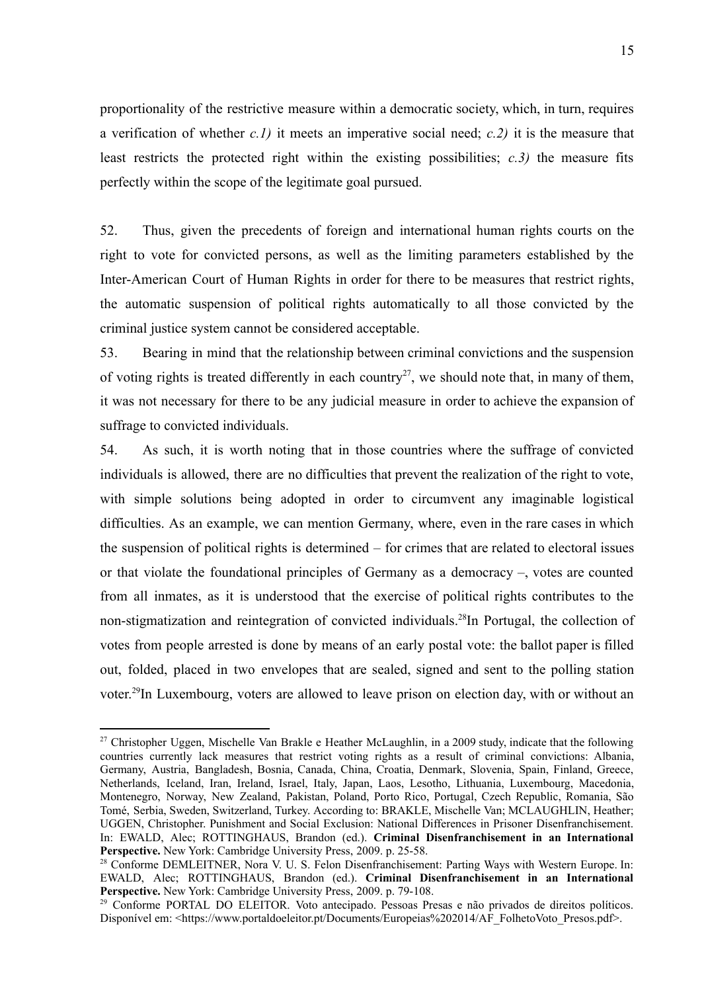proportionality of the restrictive measure within a democratic society, which, in turn, requires a verification of whether *c.1)* it meets an imperative social need; *c.2)* it is the measure that least restricts the protected right within the existing possibilities; *c.3)* the measure fits perfectly within the scope of the legitimate goal pursued.

52. Thus, given the precedents of foreign and international human rights courts on the right to vote for convicted persons, as well as the limiting parameters established by the Inter-American Court of Human Rights in order for there to be measures that restrict rights, the automatic suspension of political rights automatically to all those convicted by the criminal justice system cannot be considered acceptable.

53. Bearing in mind that the relationship between criminal convictions and the suspension of voting rights is treated differently in each country<sup>27</sup>, we should note that, in many of them, it was not necessary for there to be any judicial measure in order to achieve the expansion of suffrage to convicted individuals.

54. As such, it is worth noting that in those countries where the suffrage of convicted individuals is allowed, there are no difficulties that prevent the realization of the right to vote, with simple solutions being adopted in order to circumvent any imaginable logistical difficulties. As an example, we can mention Germany, where, even in the rare cases in which the suspension of political rights is determined – for crimes that are related to electoral issues or that violate the foundational principles of Germany as a democracy –, votes are counted from all inmates, as it is understood that the exercise of political rights contributes to the non-stigmatization and reintegration of convicted individuals.<sup>28</sup>In Portugal, the collection of votes from people arrested is done by means of an early postal vote: the ballot paper is filled out, folded, placed in two envelopes that are sealed, signed and sent to the polling station voter.<sup>29</sup>In Luxembourg, voters are allowed to leave prison on election day, with or without an

<sup>&</sup>lt;sup>27</sup> Christopher Uggen, Mischelle Van Brakle e Heather McLaughlin, in a 2009 study, indicate that the following countries currently lack measures that restrict voting rights as a result of criminal convictions: Albania, Germany, Austria, Bangladesh, Bosnia, Canada, China, Croatia, Denmark, Slovenia, Spain, Finland, Greece, Netherlands, Iceland, Iran, Ireland, Israel, Italy, Japan, Laos, Lesotho, Lithuania, Luxembourg, Macedonia, Montenegro, Norway, New Zealand, Pakistan, Poland, Porto Rico, Portugal, Czech Republic, Romania, São Tomé, Serbia, Sweden, Switzerland, Turkey. According to: BRAKLE, Mischelle Van; MCLAUGHLIN, Heather; UGGEN, Christopher. Punishment and Social Exclusion: National Differences in Prisoner Disenfranchisement. In: EWALD, Alec; ROTTINGHAUS, Brandon (ed.). **Criminal Disenfranchisement in an International Perspective.** New York: Cambridge University Press, 2009. p. 25-58.

<sup>&</sup>lt;sup>28</sup> Conforme DEMLEITNER, Nora V. U. S. Felon Disenfranchisement: Parting Ways with Western Europe. In: EWALD, Alec; ROTTINGHAUS, Brandon (ed.). **Criminal Disenfranchisement in an International Perspective.** New York: Cambridge University Press, 2009. p. 79-108.

<sup>&</sup>lt;sup>29</sup> Conforme PORTAL DO ELEITOR. Voto antecipado. Pessoas Presas e não privados de direitos políticos. Disponível em: <https://www.portaldoeleitor.pt/Documents/Europeias%202014/AF\_FolhetoVoto\_Presos.pdf>.